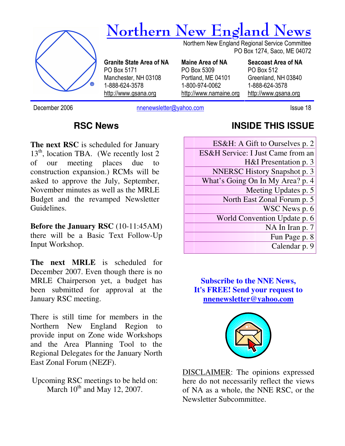

December 2006 **nnenewsletter@yahoo.com** Issue 18

### **RSC News**

**The next RSC** is scheduled for January  $13<sup>th</sup>$ , location TBA. (We recently lost 2) of our meeting places due to construction expansion.) RCMs will be asked to approve the July, September, November minutes as well as the MRLE Budget and the revamped Newsletter Guidelines.

**Before the January RSC** (10-11:45AM) there will be a Basic Text Follow-Up Input Workshop.

**The next MRLE** is scheduled for December 2007. Even though there is no MRLE Chairperson yet, a budget has been submitted for approval at the January RSC meeting.

There is still time for members in the Northern New England Region to provide input on Zone wide Workshops and the Area Planning Tool to the Regional Delegates for the January North East Zonal Forum (NEZF).

Upcoming RSC meetings to be held on: March  $10^{th}$  and May 12, 2007.

## **INSIDE THIS ISSUE**

| ES&H: A Gift to Ourselves p. 2      |
|-------------------------------------|
| ES&H Service: I Just Came from an   |
| H&I Presentation p. 3               |
| <b>NNERSC History Snapshot p. 3</b> |
| What's Going On In My Area? p. 4    |
| Meeting Updates p. 5                |
| North East Zonal Forum p. 5         |
| WSC News p. 6                       |
| World Convention Update p. 6        |
| NA In Iran p. 7                     |
| Fun Page p. 8                       |
| Calendar p. 9                       |

**Subscribe to the NNE News, It's FREE! Send your request to nnenewsletter@yahoo.com**



DISCLAIMER: The opinions expressed here do not necessarily reflect the views of NA as a whole, the NNE RSC, or the Newsletter Subcommittee.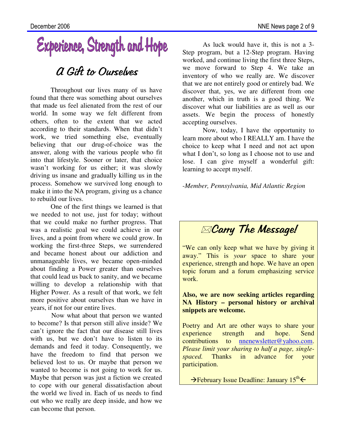# Experience, Strength and Hope

# A Gift to Ourselves

Throughout our lives many of us have found that there was something about ourselves that made us feel alienated from the rest of our world. In some way we felt different from others, often to the extent that we acted according to their standards. When that didn't work, we tried something else, eventually believing that our drug-of-choice was the answer, along with the various people who fit into that lifestyle. Sooner or later, that choice wasn't working for us either; it was slowly driving us insane and gradually killing us in the process. Somehow we survived long enough to make it into the NA program, giving us a chance to rebuild our lives.

 One of the first things we learned is that we needed to not use, just for today; without that we could make no further progress. That was a realistic goal we could achieve in our lives, and a point from where we could grow. In working the first-three Steps, we surrendered and became honest about our addiction and unmanageable lives, we became open-minded about finding a Power greater than ourselves that could lead us back to sanity, and we became willing to develop a relationship with that Higher Power. As a result of that work, we felt more positive about ourselves than we have in years, if not for our entire lives.

 Now what about that person we wanted to become? Is that person still alive inside? We can't ignore the fact that our disease still lives with us, but we don't have to listen to its demands and feed it today. Consequently, we have the freedom to find that person we believed lost to us. Or maybe that person we wanted to become is not going to work for us. Maybe that person was just a fiction we created to cope with our general dissatisfaction about the world we lived in. Each of us needs to find out who we really are deep inside, and how we can become that person.

As luck would have it, this is not a 3- Step program, but a 12-Step program. Having worked, and continue living the first three Steps, we move forward to Step 4. We take an inventory of who we really are. We discover that we are not entirely good or entirely bad. We discover that, yes, we are different from one another, which in truth is a good thing. We discover what our liabilities are as well as our assets. We begin the process of honestly accepting ourselves.

 Now, today, I have the opportunity to learn more about who I REALLY am. I have the choice to keep what I need and not act upon what I don't, so long as I choose not to use and lose. I can give myself a wonderful gift: learning to accept myself.

-*Member, Pennsylvania, Mid Atlantic Region*



"We can only keep what we have by giving it away." This is *your* space to share your experience, strength and hope. We have an open topic forum and a forum emphasizing service work.

#### **Also, we are now seeking articles regarding NA History – personal history or archival snippets are welcome.**

Poetry and Art are other ways to share your experience strength and hope. Send contributions to nnenewsletter@yahoo.com. *Please limit your sharing to half a page, singlespaced.* Thanks in advance for your participation.

→ February Issue Deadline: January 15<sup>th</sup> ←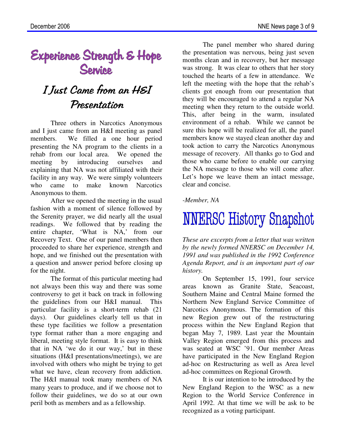# Experience Strength & Hope<br>Service

# I Just Came from an H&I Presentation

Three others in Narcotics Anonymous and I just came from an H&I meeting as panel members. We filled a one hour period presenting the NA program to the clients in a rehab from our local area. We opened the meeting by introducing ourselves and explaining that NA was not affiliated with their facility in any way. We were simply volunteers who came to make known Narcotics Anonymous to them.

After we opened the meeting in the usual fashion with a moment of silence followed by the Serenity prayer, we did nearly all the usual readings. We followed that by reading the entire chapter, 'What is NA,' from our Recovery Text. One of our panel members then proceeded to share her experience, strength and hope, and we finished out the presentation with a question and answer period before closing up for the night.

The format of this particular meeting had not always been this way and there was some controversy to get it back on track in following the guidelines from our H&I manual. This particular facility is a short-term rehab (21 days). Our guidelines clearly tell us that in these type facilities we follow a presentation type format rather than a more engaging and liberal, meeting style format. It is easy to think that in NA 'we do it our way,' but in these situations (H&I presentations/meetings), we are involved with others who might be trying to get what we have, clean recovery from addiction. The H&I manual took many members of NA many years to produce, and if we choose not to follow their guidelines, we do so at our own peril both as members and as a fellowship.

The panel member who shared during the presentation was nervous, being just seven months clean and in recovery, but her message was strong. It was clear to others that her story touched the hearts of a few in attendance. We left the meeting with the hope that the rehab's clients got enough from our presentation that they will be encouraged to attend a regular NA meeting when they return to the outside world. This, after being in the warm, insulated environment of a rehab. While we cannot be sure this hope will be realized for all, the panel members know we stayed clean another day and took action to carry the Narcotics Anonymous message of recovery. All thanks go to God and those who came before to enable our carrying the NA message to those who will come after. Let's hope we leave them an intact message, clear and concise.

*-Member, NA* 

# **NNERSC History Snapshot**

*These are excerpts from a letter that was written by the newly formed NNERSC on December 14, 1991 and was published in the 1992 Conference Agenda Report, and is an important part of our history.* 

On September 15, 1991, four service areas known as Granite State, Seacoast, Southern Maine and Central Maine formed the Northern New England Service Committee of Narcotics Anonymous. The formation of this new Region grew out of the restructuring process within the New England Region that began May 7, 1989. Last year the Mountain Valley Region emerged from this process and was seated at WSC '91. Our member Areas have participated in the New England Region ad-hoc on Restructuring as well as Area level ad-hoc committees on Regional Growth.

It is our intention to be introduced by the New England Region to the WSC as a new Region to the World Service Conference in April 1992. At that time we will be ask to be recognized as a voting participant.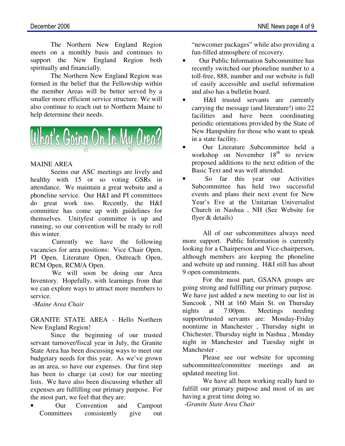The Northern New England Region meets on a monthly basis and continues to support the New England Region both spiritually and financially.

The Northern New England Region was formed in the belief that the Fellowship within the member Areas will be better served by a smaller more efficient service structure. We will also continue to reach out to Northern Maine to help determine their needs.



#### MAINE AREA

Seems our ASC meetings are lively and healthy with 15 or so voting GSRs in attendance. We maintain a great website and a phoneline service. Our H&I and PI committees do great work too. Recently, the H&I committee has come up with guidelines for themselves. Unityfest committee is up and running, so our convention will be ready to roll this winter.

Currently we have the following vacancies for area positions: Vice Chair Open, PI Open, Literature Open, Outreach Open, RCM Open, RCM/A Open.

We will soon be doing our Area Inventory. Hopefully, with learnings from that we can explore ways to attract more members to service.

*-Maine Area Chair* 

GRANITE STATE AREA - Hello Northern New England Region!

 Since the beginning of our trusted servant turnover/fiscal year in July, the Granite State Area has been discussing ways to meet our budgetary needs for this year. As we've grown as an area, so have our expenses. Our first step has been to charge (at cost) for our meeting lists. We have also been discussing whether all expenses are fulfilling our primary purpose. For the most part, we feel that they are:

• Our Convention and Campout Committees consistently give out

"newcomer packages" while also providing a fun-filled atmosphere of recovery.

- Our Public Information Subcommittee has recently switched our phoneline number to a toll-free, 888, number and our website is full of easily accessible and useful information and also has a bulletin board.
- H&I trusted servants are currently carrying the message (and literature!) into 22 facilities and have been coordinating periodic orientations provided by the State of New Hampshire for those who want to speak in a state facility.
- Our Literature Subcommittee held a workshop on November  $18<sup>th</sup>$  to review proposed additions to the next edition of the Basic Text and was well attended.
- So far this year our Activities Subcommittee has held two successful events and plans their next event for New Year's Eve at the Unitarian Universalist Church in Nashua , NH (See Website for flyer & details)

All of our subcommittees always need more support. Public Information is currently looking for a Chairperson and Vice-chairperson, although members are keeping the phoneline and website up and running. H&I still has about 9 open commitments.

For the most part, GSANA groups are going strong and fulfilling our primary purpose. We have just added a new meeting to our list in Suncook , NH at 160 Main St. on Thursday nights at 7:00pm. Meetings needing support/trusted servants are: Monday-Friday noontime in Manchester , Thursday night in Chichester, Thursday night in Nashua , Monday night in Manchester and Tuesday night in Manchester .

Please see our website for upcoming subcommittee/committee meetings and an updated meeting list.

We have all been working really hard to fulfill our primary purpose and most of us are having a great time doing so.

*-Granite State Area Chair*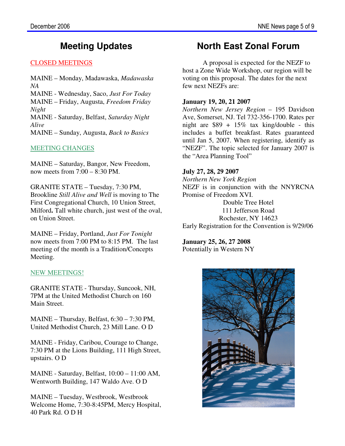## **Meeting Updates**

#### CLOSED MEETINGS

MAINE – Monday, Madawaska, *Madawaska NA*  MAINE - Wednesday, Saco, *Just For Today* MAINE – Friday, Augusta, *Freedom Friday Night* MAINE - Saturday, Belfast, *Saturday Night Alive* MAINE – Sunday, Augusta, *Back to Basics*

#### MEETING CHANGES

MAINE – Saturday, Bangor, New Freedom, now meets from 7:00 – 8:30 PM.

GRANITE STATE – Tuesday, 7:30 PM, Brookline *Still Alive and Well* is moving to The First Congregational Church, 10 Union Street, Milford**.** Tall white church, just west of the oval, on Union Street.

MAINE – Friday, Portland, *Just For Tonight* now meets from 7:00 PM to 8:15 PM. The last meeting of the month is a Tradition/Concepts Meeting.

#### NEW MEETINGS!

GRANITE STATE - Thursday, Suncook, NH, 7PM at the United Methodist Church on 160 Main Street.

MAINE – Thursday, Belfast, 6:30 – 7:30 PM, United Methodist Church, 23 Mill Lane. O D

MAINE - Friday, Caribou, Courage to Change, 7:30 PM at the Lions Building, 111 High Street, upstairs. O D

MAINE - Saturday, Belfast, 10:00 – 11:00 AM, Wentworth Building, 147 Waldo Ave. O D

MAINE – Tuesday, Westbrook, Westbrook Welcome Home, 7:30-8:45PM, Mercy Hospital, 40 Park Rd. O D H

## **North East Zonal Forum**

A proposal is expected for the NEZF to host a Zone Wide Workshop, our region will be voting on this proposal. The dates for the next few next NEZFs are:

#### **January 19, 20, 21 2007**

*Northern New Jersey Region* – 195 Davidson Ave, Somerset, NJ. Tel 732-356-1700. Rates per night are  $$89 + 15\%$  tax king/double - this includes a buffet breakfast. Rates guaranteed until Jan 5, 2007. When registering, identify as "NEZF". The topic selected for January 2007 is the "Area Planning Tool"

#### **July 27, 28, 29 2007**

*Northern New York Region*  NEZF is in conjunction with the NNYRCNA Promise of Freedom XVI. Double Tree Hotel 111 Jefferson Road

Rochester, NY 14623 Early Registration for the Convention is 9/29/06

**January 25, 26, 27 2008** Potentially in Western NY

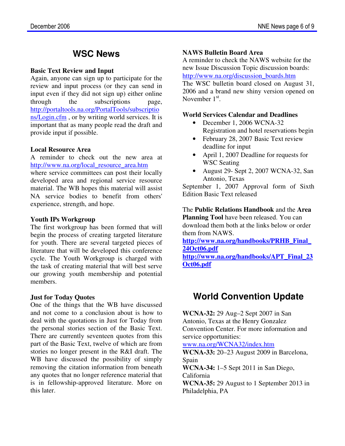### **WSC News**

#### **Basic Text Review and Input**

Again, anyone can sign up to participate for the review and input process (or they can send in input even if they did not sign up) either online through the subscriptions page, http://portaltools.na.org/PortalTools/subscriptio ns/Login.cfm , or by writing world services. It is important that as many people read the draft and provide input if possible.

#### **Local Resource Area**

A reminder to check out the new area at http://www.na.org/local\_resource\_area.htm where service committees can post their locally developed area and regional service resource material. The WB hopes this material will assist NA service bodies to benefit from others' experience, strength, and hope.

#### **Youth IPs Workgroup**

The first workgroup has been formed that will begin the process of creating targeted literature for youth. There are several targeted pieces of literature that will be developed this conference cycle. The Youth Workgroup is charged with the task of creating material that will best serve our growing youth membership and potential members.

#### **Just for Today Quotes**

One of the things that the WB have discussed and not come to a conclusion about is how to deal with the quotations in Just for Today from the personal stories section of the Basic Text. There are currently seventeen quotes from this part of the Basic Text, twelve of which are from stories no longer present in the R&I draft. The WB have discussed the possibility of simply removing the citation information from beneath any quotes that no longer reference material that is in fellowship-approved literature. More on this later.

#### **NAWS Bulletin Board Area**

A reminder to check the NAWS website for the new Issue Discussion Topic discussion boards: http://www.na.org/discussion\_boards.htm

The WSC bulletin board closed on August 31, 2006 and a brand new shiny version opened on November  $1<sup>st</sup>$ .

#### **World Services Calendar and Deadlines**

- December 1, 2006 WCNA-32 Registration and hotel reservations begin
- February 28, 2007 Basic Text review deadline for input
- April 1, 2007 Deadline for requests for WSC Seating
- August 29- Sept 2, 2007 WCNA-32, San Antonio, Texas

September 1, 2007 Approval form of Sixth Edition Basic Text released

The **Public Relations Handbook** and the **Area Planning Tool** have been released. You can download them both at the links below or order them from NAWS.

**http://www.na.org/handbooks/PRHB\_Final\_ 24Oct06.pdf http://www.na.org/handbooks/APT\_Final\_23**

**Oct06.pdf**

# **World Convention Update**

**WCNA-32:** 29 Aug–2 Sept 2007 in San Antonio, Texas at the Henry Gonzalez Convention Center. For more information and service opportunities:

www.na.org/WCNA32/index.htm

**WCNA-33:** 20–23 August 2009 in Barcelona, Spain

**WCNA-34:** 1–5 Sept 2011 in San Diego, California

**WCNA-35:** 29 August to 1 September 2013 in Philadelphia, PA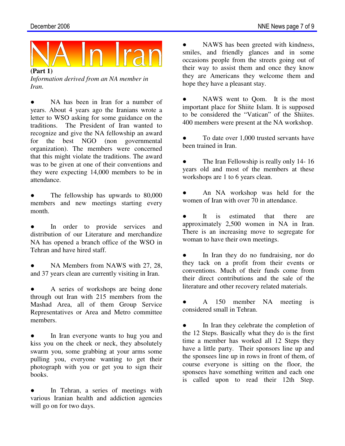

*Information derived from an NA member in Iran.* 

NA has been in Iran for a number of years. About 4 years ago the Iranians wrote a letter to WSO asking for some guidance on the traditions. The President of Iran wanted to recognize and give the NA fellowship an award for the best NGO (non governmental organization). The members were concerned that this might violate the traditions. The award was to be given at one of their conventions and they were expecting 14,000 members to be in attendance.

The fellowship has upwards to 80,000 members and new meetings starting every month.

In order to provide services and distribution of our Literature and merchandize NA has opened a branch office of the WSO in Tehran and have hired staff.

NA Members from NAWS with 27, 28, and 37 years clean are currently visiting in Iran.

A series of workshops are being done through out Iran with 215 members from the Mashad Area, all of them Group Service Representatives or Area and Metro committee members.

In Iran everyone wants to hug you and kiss you on the cheek or neck, they absolutely swarm you, some grabbing at your arms some pulling you, everyone wanting to get their photograph with you or get you to sign their books.

In Tehran, a series of meetings with various Iranian health and addiction agencies will go on for two days.

NAWS has been greeted with kindness, smiles, and friendly glances and in some occasions people from the streets going out of their way to assist them and once they know they are Americans they welcome them and hope they have a pleasant stay.

• NAWS went to Qom. It is the most important place for Shiite Islam. It is supposed to be considered the "Vatican" of the Shiites. 400 members were present at the NA workshop.

To date over 1,000 trusted servants have been trained in Iran.

The Iran Fellowship is really only 14-16 years old and most of the members at these workshops are 1 to 6 years clean.

An NA workshop was held for the women of Iran with over 70 in attendance.

It is estimated that there are approximately 2,500 women in NA in Iran. There is an increasing move to segregate for woman to have their own meetings.

● In Iran they do no fundraising, nor do they tack on a profit from their events or conventions. Much of their funds come from their direct contributions and the sale of the literature and other recovery related materials.

● A 150 member NA meeting is considered small in Tehran.

In Iran they celebrate the completion of the 12 Steps. Basically what they do is the first time a member has worked all 12 Steps they have a little party. Their sponsors line up and the sponsees line up in rows in front of them, of course everyone is sitting on the floor, the sponsees have something written and each one is called upon to read their 12th Step.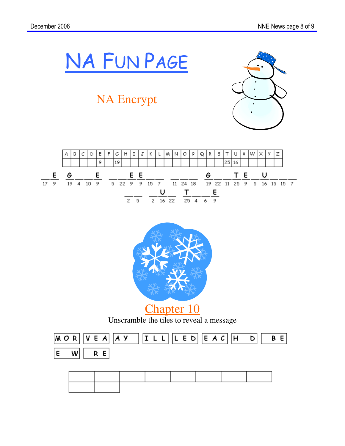

# NA Encrypt







Unscramble the tiles to reveal a message